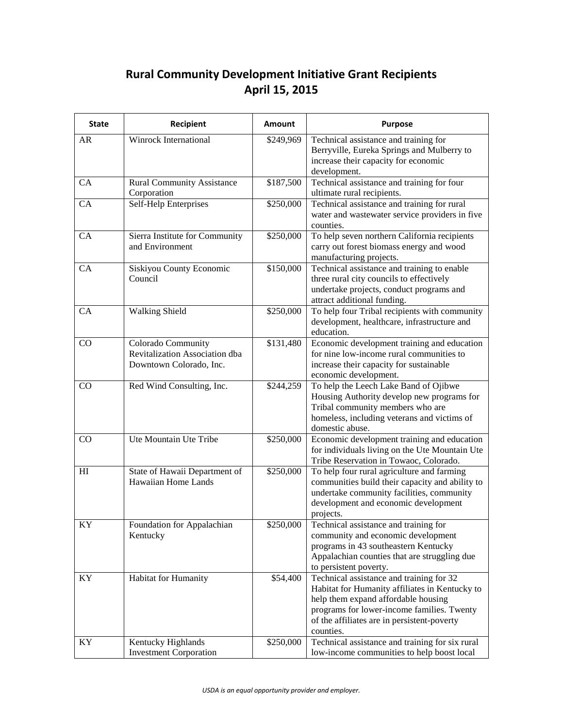## **Rural Community Development Initiative Grant Recipients April 15, 2015**

| <b>State</b>    | Recipient                                                                       | Amount    | Purpose                                                                                                                                                                                                                                     |
|-----------------|---------------------------------------------------------------------------------|-----------|---------------------------------------------------------------------------------------------------------------------------------------------------------------------------------------------------------------------------------------------|
| <b>AR</b>       | Winrock International                                                           | \$249,969 | Technical assistance and training for<br>Berryville, Eureka Springs and Mulberry to<br>increase their capacity for economic<br>development.                                                                                                 |
| CA              | <b>Rural Community Assistance</b><br>Corporation                                | \$187,500 | Technical assistance and training for four<br>ultimate rural recipients.                                                                                                                                                                    |
| CA              | Self-Help Enterprises                                                           | \$250,000 | Technical assistance and training for rural<br>water and wastewater service providers in five<br>counties.                                                                                                                                  |
| CA              | Sierra Institute for Community<br>and Environment                               | \$250,000 | To help seven northern California recipients<br>carry out forest biomass energy and wood<br>manufacturing projects.                                                                                                                         |
| CA              | Siskiyou County Economic<br>Council                                             | \$150,000 | Technical assistance and training to enable<br>three rural city councils to effectively<br>undertake projects, conduct programs and<br>attract additional funding.                                                                          |
| CA              | <b>Walking Shield</b>                                                           | \$250,000 | To help four Tribal recipients with community<br>development, healthcare, infrastructure and<br>education.                                                                                                                                  |
| CO              | Colorado Community<br>Revitalization Association dba<br>Downtown Colorado, Inc. | \$131,480 | Economic development training and education<br>for nine low-income rural communities to<br>increase their capacity for sustainable<br>economic development.                                                                                 |
| CO              | Red Wind Consulting, Inc.                                                       | \$244,259 | To help the Leech Lake Band of Ojibwe<br>Housing Authority develop new programs for<br>Tribal community members who are<br>homeless, including veterans and victims of<br>domestic abuse.                                                   |
| CO              | Ute Mountain Ute Tribe                                                          | \$250,000 | Economic development training and education<br>for individuals living on the Ute Mountain Ute<br>Tribe Reservation in Towaoc, Colorado.                                                                                                     |
| H1              | State of Hawaii Department of<br>Hawaiian Home Lands                            | \$250,000 | To help four rural agriculture and farming<br>communities build their capacity and ability to<br>undertake community facilities, community<br>development and economic development<br>projects.                                             |
| $\overline{KY}$ | Foundation for Appalachian<br>Kentucky                                          | \$250,000 | Technical assistance and training for<br>community and economic development<br>programs in 43 southeastern Kentucky<br>Appalachian counties that are struggling due<br>to persistent poverty.                                               |
| KY              | Habitat for Humanity                                                            | \$54,400  | Technical assistance and training for 32<br>Habitat for Humanity affiliates in Kentucky to<br>help them expand affordable housing<br>programs for lower-income families. Twenty<br>of the affiliates are in persistent-poverty<br>counties. |
| KY              | Kentucky Highlands<br><b>Investment Corporation</b>                             | \$250,000 | Technical assistance and training for six rural<br>low-income communities to help boost local                                                                                                                                               |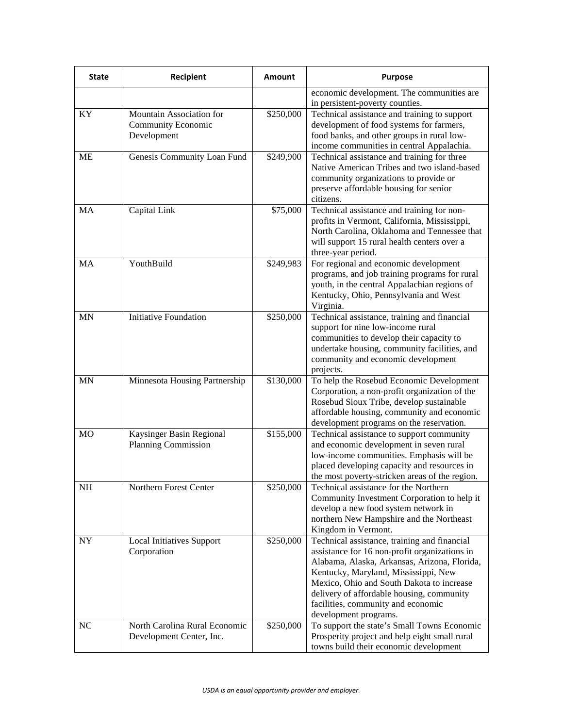|                                                              | economic development. The communities are<br>in persistent-poverty counties.            |
|--------------------------------------------------------------|-----------------------------------------------------------------------------------------|
|                                                              |                                                                                         |
|                                                              |                                                                                         |
| Mountain Association for<br>\$250,000<br>KY                  | Technical assistance and training to support                                            |
| <b>Community Economic</b>                                    | development of food systems for farmers,                                                |
| Development                                                  | food banks, and other groups in rural low-                                              |
|                                                              | income communities in central Appalachia.                                               |
| Genesis Community Loan Fund<br>\$249,900<br>ME               | Technical assistance and training for three                                             |
|                                                              | Native American Tribes and two island-based                                             |
|                                                              | community organizations to provide or                                                   |
| citizens.                                                    | preserve affordable housing for senior                                                  |
| Capital Link<br>\$75,000<br>MA                               | Technical assistance and training for non-                                              |
|                                                              | profits in Vermont, California, Mississippi,                                            |
|                                                              | North Carolina, Oklahoma and Tennessee that                                             |
|                                                              | will support 15 rural health centers over a                                             |
|                                                              | three-year period.                                                                      |
| YouthBuild<br>MA<br>\$249,983                                | For regional and economic development                                                   |
|                                                              | programs, and job training programs for rural                                           |
|                                                              | youth, in the central Appalachian regions of                                            |
|                                                              | Kentucky, Ohio, Pennsylvania and West                                                   |
| Virginia.                                                    |                                                                                         |
| <b>Initiative Foundation</b><br>\$250,000<br><b>MN</b>       | Technical assistance, training and financial                                            |
|                                                              | support for nine low-income rural                                                       |
|                                                              | communities to develop their capacity to                                                |
|                                                              | undertake housing, community facilities, and                                            |
| projects.                                                    | community and economic development                                                      |
| Minnesota Housing Partnership<br>\$130,000<br><b>MN</b>      | To help the Rosebud Economic Development                                                |
|                                                              | Corporation, a non-profit organization of the                                           |
|                                                              | Rosebud Sioux Tribe, develop sustainable                                                |
|                                                              | affordable housing, community and economic                                              |
|                                                              | development programs on the reservation.                                                |
| \$155,000<br>M <sub>O</sub><br>Kaysinger Basin Regional      | Technical assistance to support community                                               |
| Planning Commission                                          | and economic development in seven rural                                                 |
|                                                              | low-income communities. Emphasis will be                                                |
|                                                              | placed developing capacity and resources in                                             |
|                                                              | the most poverty-stricken areas of the region.                                          |
| NH<br>Northern Forest Center<br>\$250,000                    | Technical assistance for the Northern                                                   |
|                                                              | Community Investment Corporation to help it<br>develop a new food system network in     |
|                                                              | northern New Hampshire and the Northeast                                                |
|                                                              | Kingdom in Vermont.                                                                     |
| $\bold{NY}$<br>\$250,000<br><b>Local Initiatives Support</b> | Technical assistance, training and financial                                            |
| Corporation                                                  | assistance for 16 non-profit organizations in                                           |
|                                                              | Alabama, Alaska, Arkansas, Arizona, Florida,                                            |
|                                                              | Kentucky, Maryland, Mississippi, New                                                    |
|                                                              | Mexico, Ohio and South Dakota to increase                                               |
|                                                              | delivery of affordable housing, community                                               |
|                                                              | facilities, community and economic                                                      |
|                                                              | development programs.                                                                   |
| North Carolina Rural Economic<br>NC<br>\$250,000             | To support the state's Small Towns Economic                                             |
| Development Center, Inc.                                     | Prosperity project and help eight small rural<br>towns build their economic development |